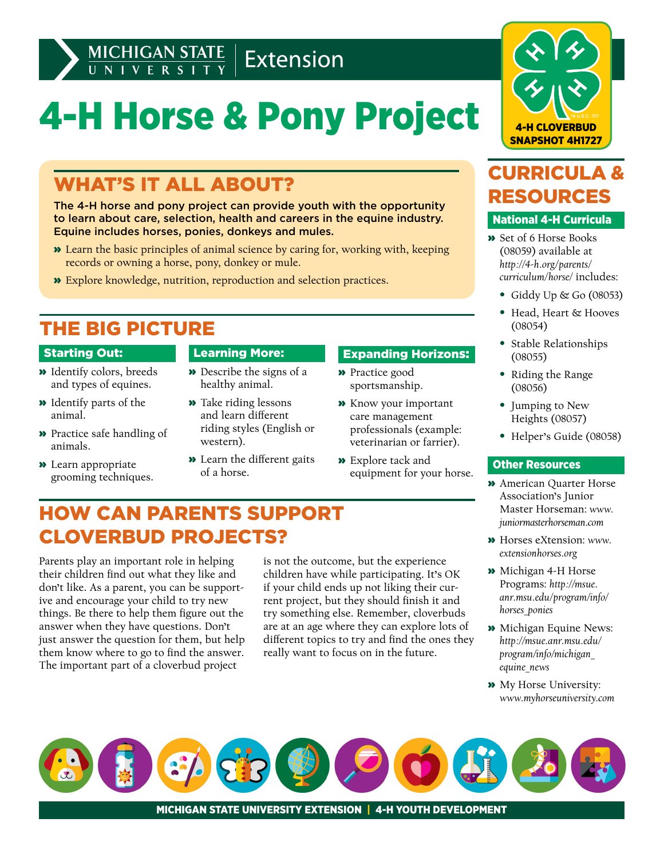

# 4-H Horse & Pony Project

### WHAT'S IT ALL ABOUT?

The 4-H horse and pony project can provide youth with the opportunity to learn about care, selection, health and careers in the equine industry. Equine includes horses, ponies, donkeys and mules.

- » Learn the basic principles of animal science by caring for, working with, keeping records or owning a horse, pony, donkey or mule.
- » Explore knowledge, nutrition, reproduction and selection practices.

### THE BIG PICTURE

#### Starting Out:

- » Identify colors, breeds and types of equines.
- » Identify parts of the animal.
- » Practice safe handling of animals.
- » Learn appropriate grooming techniques.

#### Learning More:

- » Describe the signs of a healthy animal.
- » Take riding lessons and learn different riding styles (English or western).
- » Learn the different gaits of a horse.

#### Expanding Horizons:

- » Practice good sportsmanship.
- » Know your important care management professionals (example: veterinarian or farrier).
- » Explore tack and equipment for your horse.

### HOW CAN PARENTS SUPPORT CLOVERBUD PROJECTS?

Parents play an important role in helping their children find out what they like and don't like. As a parent, you can be supportive and encourage your child to try new things. Be there to help them figure out the answer when they have questions. Don't just answer the question for them, but help them know where to go to find the answer. The important part of a cloverbud project

is not the outcome, but the experience children have while participating. It's OK if your child ends up not liking their current project, but they should finish it and try something else. Remember, cloverbuds are at an age where they can explore lots of different topics to try and find the ones they really want to focus on in the future.



### CURRICULA & RESOURCES

#### National 4-H Curricula

- » Set of 6 Horse Books (08059) available at *[http://4-h.org/parents/](http://4-h.org/parents/curriculum/horse/) [curriculum/horse/](http://4-h.org/parents/curriculum/horse/)* includes:
	- Giddy Up & Go (08053)
	- Head, Heart & Hooves (08054)
	- Stable Relationships (08055)
	- Riding the Range (08056)
	- Jumping to New Heights (08057)
	- Helper's Guide (08058)

#### Other Resources

- » American Quarter Horse Association's Junior Master Horseman: *[www.](http://www.juniormasterhorseman.com) [juniormasterhorseman.com](http://www.juniormasterhorseman.com)*
- » Horses eXtension: *[www.](http://www.extensionhorses.org) [extensionhorses.org](http://www.extensionhorses.org)*
- » Michigan 4-H Horse Programs: *[http://msue.](http://msue.anr.msu.edu/program/info/horses_ponies) [anr.msu.edu/program/info/](http://msue.anr.msu.edu/program/info/horses_ponies) [horses\\_ponies](http://msue.anr.msu.edu/program/info/horses_ponies)*
- » Michigan Equine News: *[http://msue.anr.msu.edu/](http://msue.anr.msu.edu/program/info/michigan_equine_news) [program/info/michigan\\_](http://msue.anr.msu.edu/program/info/michigan_equine_news) [equine\\_news](http://msue.anr.msu.edu/program/info/michigan_equine_news)*
- » My Horse University: *[www.myhorseuniversity.com](http://www.myhorseuniversity.com)*